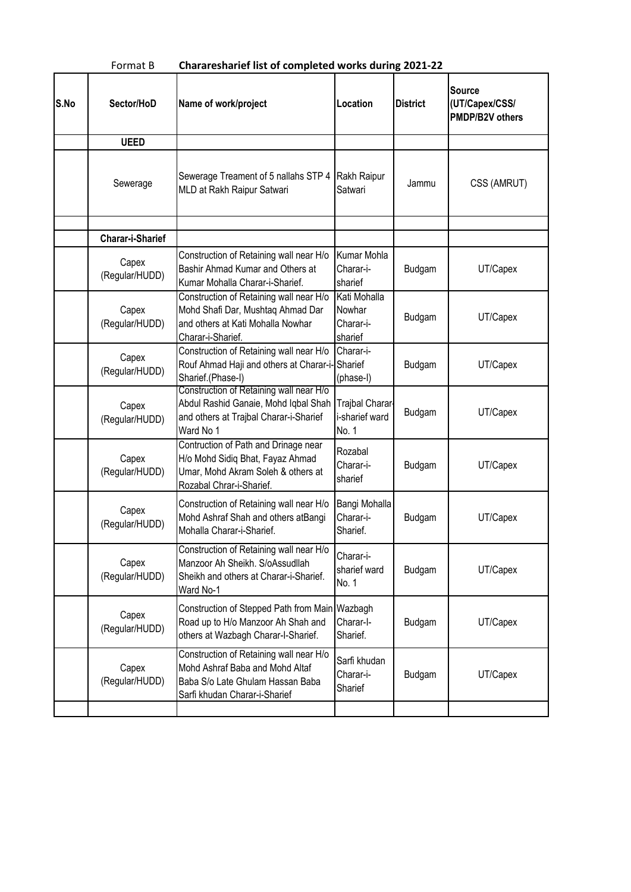| Chararesharief list of completed works during 2021-22<br>Format B |                                                                                                                                                 |                                                                           |                                                                                                             |                                                           |  |  |  |  |
|-------------------------------------------------------------------|-------------------------------------------------------------------------------------------------------------------------------------------------|---------------------------------------------------------------------------|-------------------------------------------------------------------------------------------------------------|-----------------------------------------------------------|--|--|--|--|
| Sector/HoD                                                        | Name of work/project                                                                                                                            | Location                                                                  | <b>District</b>                                                                                             | <b>Source</b><br>(UT/Capex/CSS/<br><b>PMDP/B2V others</b> |  |  |  |  |
| <b>UEED</b>                                                       |                                                                                                                                                 |                                                                           |                                                                                                             |                                                           |  |  |  |  |
| Sewerage                                                          | Sewerage Treament of 5 nallahs STP 4<br>MLD at Rakh Raipur Satwari                                                                              | Rakh Raipur<br>Satwari                                                    | Jammu                                                                                                       | CSS (AMRUT)                                               |  |  |  |  |
| <b>Charar-i-Sharief</b>                                           |                                                                                                                                                 |                                                                           |                                                                                                             |                                                           |  |  |  |  |
| Capex<br>(Regular/HUDD)                                           | Construction of Retaining wall near H/o<br>Bashir Ahmad Kumar and Others at<br>Kumar Mohalla Charar-i-Sharief.                                  | Kumar Mohla<br>Charar-i-<br>sharief                                       | Budgam                                                                                                      | UT/Capex                                                  |  |  |  |  |
| Capex<br>(Regular/HUDD)                                           | Construction of Retaining wall near H/o<br>Mohd Shafi Dar, Mushtaq Ahmad Dar<br>and others at Kati Mohalla Nowhar                               | Kati Mohalla<br>Nowhar<br>Charar-i-                                       | Budgam                                                                                                      | UT/Capex                                                  |  |  |  |  |
| Capex<br>(Regular/HUDD)                                           | Construction of Retaining wall near H/o<br>Sharief.(Phase-I)                                                                                    | Charar-i-<br>(phase-I)                                                    | Budgam                                                                                                      | UT/Capex                                                  |  |  |  |  |
| Capex<br>(Regular/HUDD)                                           | Abdul Rashid Ganaie, Mohd Iqbal Shah<br>and others at Trajbal Charar-i-Sharief<br>Ward No 1                                                     | i-sharief ward<br>No. 1                                                   | Budgam                                                                                                      | UT/Capex                                                  |  |  |  |  |
| Capex<br>(Regular/HUDD)                                           | Contruction of Path and Drinage near<br>H/o Mohd Sidiq Bhat, Fayaz Ahmad<br>Umar, Mohd Akram Soleh & others at<br>Rozabal Chrar-i-Sharief.      | Rozabal<br>Charar-i-<br>sharief                                           | Budgam                                                                                                      | UT/Capex                                                  |  |  |  |  |
| Capex<br>(Regular/HUDD)                                           | Construction of Retaining wall near H/o<br>Mohd Ashraf Shah and others atBangi<br>Mohalla Charar-i-Sharief.                                     | Charar-i-<br>Sharief.                                                     | Budgam                                                                                                      | UT/Capex                                                  |  |  |  |  |
| Capex<br>(Regular/HUDD)                                           | Construction of Retaining wall near H/o<br>Manzoor Ah Sheikh. S/oAssudllah<br>Sheikh and others at Charar-i-Sharief.                            | Charar-i-<br>sharief ward<br>No. 1                                        | Budgam                                                                                                      | UT/Capex                                                  |  |  |  |  |
| Capex<br>(Regular/HUDD)                                           | Road up to H/o Manzoor Ah Shah and<br>others at Wazbagh Charar-I-Sharief.                                                                       | Charar-I-<br>Sharief.                                                     | Budgam                                                                                                      | UT/Capex                                                  |  |  |  |  |
| Capex<br>(Regular/HUDD)                                           | Construction of Retaining wall near H/o<br>Mohd Ashraf Baba and Mohd Altaf<br>Baba S/o Late Ghulam Hassan Baba<br>Sarfi khudan Charar-i-Sharief | Sarfi khudan<br>Charar-i-<br>Sharief                                      | Budgam                                                                                                      | UT/Capex                                                  |  |  |  |  |
|                                                                   |                                                                                                                                                 | Charar-i-Sharief.<br>Construction of Retaining wall near H/o<br>Ward No-1 | sharief<br>Rouf Ahmad Haji and others at Charar-i-Sharief<br>Construction of Stepped Path from Main Wazbagh | Trajbal Charar<br>Bangi Mohalla                           |  |  |  |  |